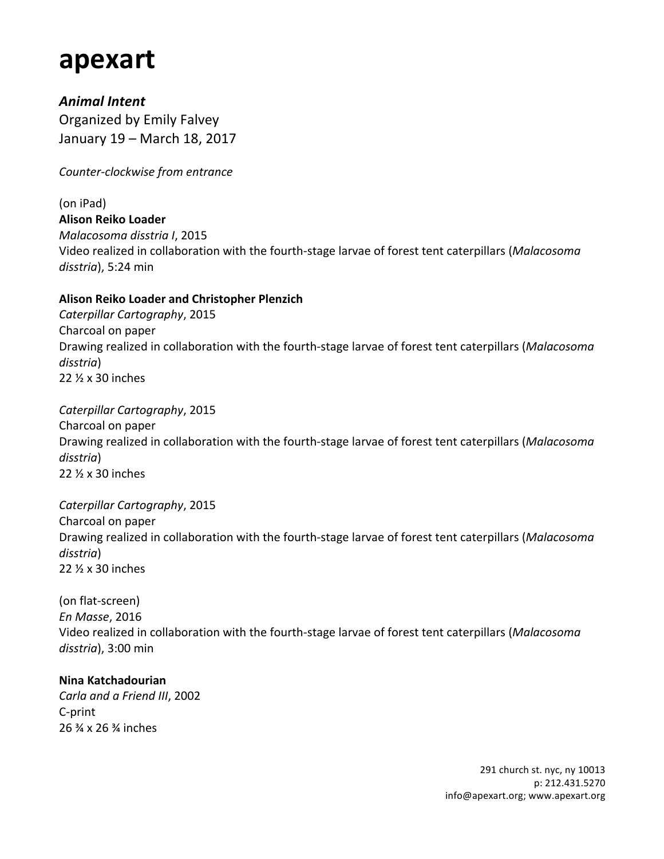# **apexart**

*Animal Intent* Organized by Emily Falvey January 19 – March 18, 2017

*Counter-clockwise from entrance*

(on iPad) **Alison Reiko Loader** *Malacosoma disstria I*, 2015 Video realized in collaboration with the fourth-stage larvae of forest tent caterpillars (*Malacosoma*) disstria), 5:24 min

### **Alison Reiko Loader and Christopher Plenzich**

*Caterpillar Cartography*, 2015 Charcoal on paper Drawing realized in collaboration with the fourth-stage larvae of forest tent caterpillars (*Malacosoma disstria*) 22 ½ x 30 inches

*Caterpillar Cartography*, 2015 Charcoal on paper Drawing realized in collaboration with the fourth-stage larvae of forest tent caterpillars (Malacosoma *disstria*) 22 ½ x 30 inches

*Caterpillar Cartography*, 2015 Charcoal on paper Drawing realized in collaboration with the fourth-stage larvae of forest tent caterpillars (Malacosoma *disstria*) 22 ½ x 30 inches

(on flat-screen) *En Masse*, 2016 Video realized in collaboration with the fourth-stage larvae of forest tent caterpillars (*Malacosoma*) *disstria*), 3:00 min 

### **Nina Katchadourian**

*Carla and a Friend III*, 2002 C-print 26 ¾ x 26 ¾ inches

> 291 church st. nyc, ny 10013 p: 212.431.5270 info@apexart.org; www.apexart.org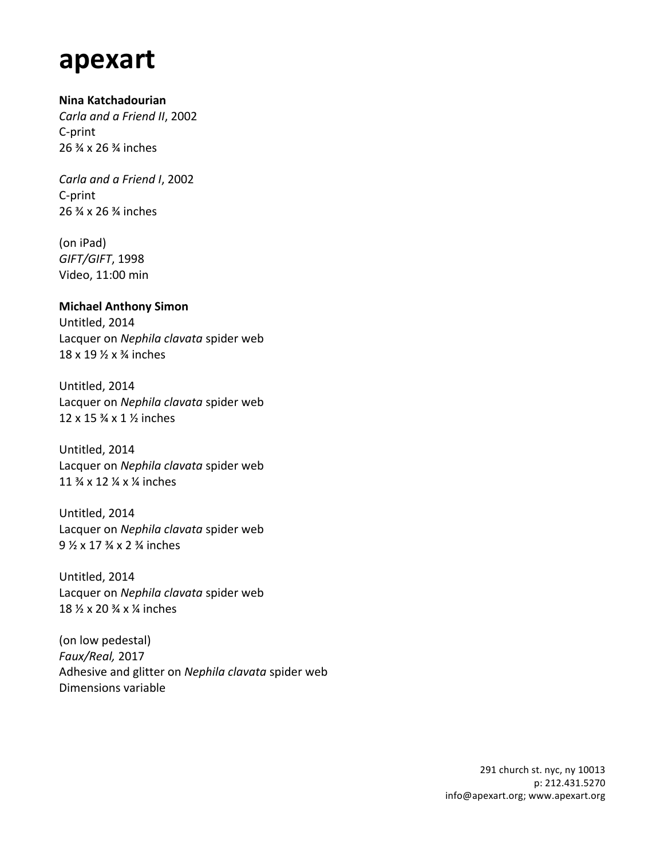# **apexart**

#### **Nina Katchadourian**

*Carla and a Friend II*, 2002 C-print 26 % x 26 % inches

*Carla and a Friend I*, 2002 C-print 26  $\frac{3}{4}$  x 26  $\frac{3}{4}$  inches

(on iPad) *GIFT/GIFT*, 1998 Video, 11:00 min

#### **Michael Anthony Simon**

Untitled, 2014 Lacquer on *Nephila clavata* spider web  $18 \times 19 \frac{1}{2} \times \frac{3}{4}$  inches

Untitled, 2014 Lacquer on *Nephila clavata* spider web 12 x 15  $\frac{3}{4}$  x 1  $\frac{1}{2}$  inches

Untitled, 2014 Lacquer on *Nephila clavata* spider web 11  $\frac{3}{4} \times 12 \frac{1}{4} \times \frac{1}{4}$  inches

Untitled, 2014 Lacquer on *Nephila clavata* spider web 9 ½ x 17 ¾ x 2 ¾ inches 

Untitled, 2014 Lacquer on *Nephila clavata* spider web 18 ½ x 20 ¾ x ¼ inches

(on low pedestal) *Faux/Real,* 2017 Adhesive and glitter on *Nephila clavata* spider web Dimensions variable